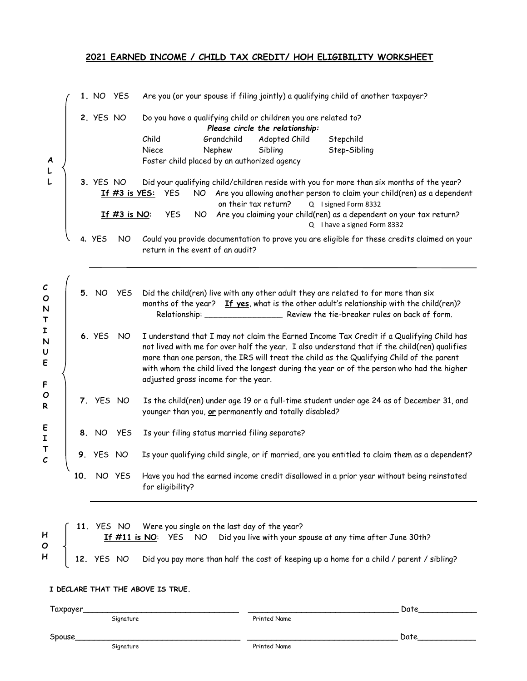## **2021 EARNED INCOME / CHILD TAX CREDIT/ HOH ELIGIBILITY WORKSHEET**

**1.** NO YES Are you (or your spouse if filing jointly) a qualifying child of another taxpayer? **2.** YES NO Do you have a qualifying child or children you are related to? *Please circle the relationship:* Child Grandchild Adopted Child Stepchild Niece Nephew Sibling Step-Sibling Foster child placed by an authorized agency **3.** YES NO Did your qualifying child/children reside with you for more than six months of the year? **If #3 is YES:** YES NO Are you allowing another person to claim your child(ren) as a dependent on their tax return? Q I signed Form 8332 **If #3 is NO**: YES NO Are you claiming your child(ren) as a dependent on your tax return? Q I have a signed Form 8332

**4.** YES NO Could you provide documentation to prove you are eligible for these credits claimed on your return in the event of an audit?

| $\mathcal C$<br>$\mathbf{o}$<br>N<br>$\mathsf T$ | 5. NO<br><b>YES</b>  | Did the child(ren) live with any other adult they are related to for more than six<br>months of the year? If yes, what is the other adult's relationship with the child(ren)?<br>Review the tie-breaker rules on back of form.<br>Relationship: _                                                                                                                                                                        |  |  |  |  |  |
|--------------------------------------------------|----------------------|--------------------------------------------------------------------------------------------------------------------------------------------------------------------------------------------------------------------------------------------------------------------------------------------------------------------------------------------------------------------------------------------------------------------------|--|--|--|--|--|
| I<br>N<br>U<br>E<br>F                            | <b>6. YES</b><br>NO. | I understand that I may not claim the Earned Income Tax Credit if a Qualifying Child has<br>not lived with me for over half the year. I also understand that if the child(ren) qualifies<br>more than one person, the IRS will treat the child as the Qualifying Child of the parent<br>with whom the child lived the longest during the year or of the person who had the higher<br>adjusted gross income for the year. |  |  |  |  |  |
| $\mathbf{o}$<br>$\mathsf{R}$                     | 7. YES NO            | Is the child(ren) under age 19 or a full-time student under age 24 as of December 31, and<br>younger than you, or permanently and totally disabled?                                                                                                                                                                                                                                                                      |  |  |  |  |  |
| E<br>I                                           | 8. NO<br>YES.        | Is your filing status married filing separate?                                                                                                                                                                                                                                                                                                                                                                           |  |  |  |  |  |
| $\frac{1}{c}$                                    | <b>9.</b> YES NO     | Is your qualifying child single, or if married, are you entitled to claim them as a dependent?                                                                                                                                                                                                                                                                                                                           |  |  |  |  |  |
|                                                  | 10.<br>NO YES        | Have you had the earned income credit disallowed in a prior year without being reinstated<br>for eligibility?                                                                                                                                                                                                                                                                                                            |  |  |  |  |  |

|                                       | 11. YES NO Were you single on the last day of the year? |  |  |  |  |  |                                                                                                           |  |
|---------------------------------------|---------------------------------------------------------|--|--|--|--|--|-----------------------------------------------------------------------------------------------------------|--|
| $H$ $\begin{bmatrix} 1 \end{bmatrix}$ |                                                         |  |  |  |  |  | If #11 is NO: YES NO Did you live with your spouse at any time after June 30th?                           |  |
| $\circ$ $\downarrow$                  |                                                         |  |  |  |  |  | $H$   12. YES NO Did you pay more than half the cost of keeping up a home for a child / parent / sibling? |  |

## **I DECLARE THAT THE ABOVE IS TRUE.**

Taxpayer\_\_\_\_\_\_\_\_\_\_\_\_\_\_\_\_\_\_\_\_\_\_\_\_\_\_\_\_\_\_\_\_ \_\_\_\_\_\_\_\_\_\_\_\_\_\_\_\_\_\_\_\_\_\_\_\_\_\_\_\_\_\_\_ Date\_\_\_\_\_\_\_\_\_\_\_\_

**A L L**

Signature Printed Name